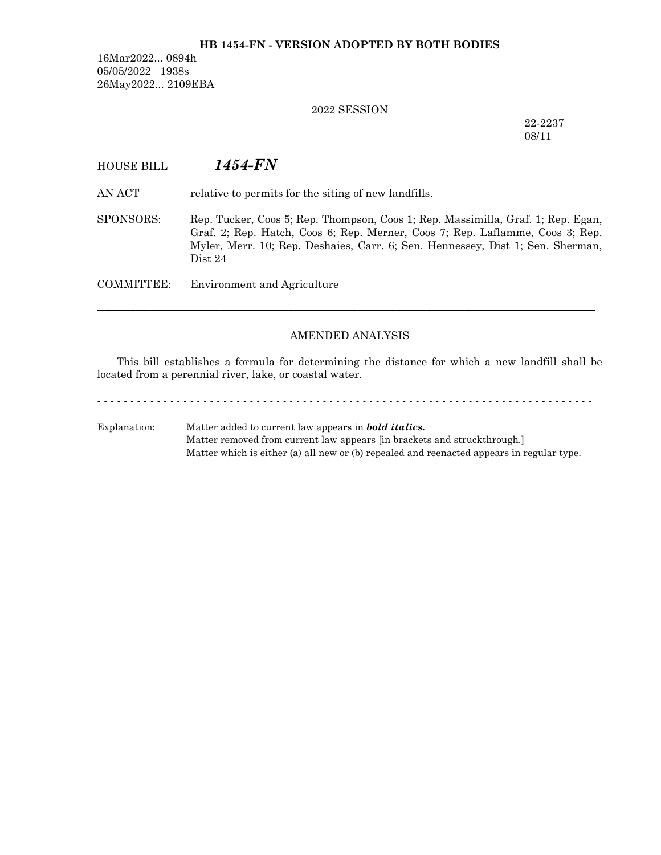### **HB 1454-FN - VERSION ADOPTED BY BOTH BODIES**

16Mar2022... 0894h 05/05/2022 1938s 26May2022... 2109EBA

#### 2022 SESSION

22-2237 08/11

# HOUSE BILL *1454-FN*

AN ACT relative to permits for the siting of new landfills.

SPONSORS: Rep. Tucker, Coos 5; Rep. Thompson, Coos 1; Rep. Massimilla, Graf. 1; Rep. Egan, Graf. 2; Rep. Hatch, Coos 6; Rep. Merner, Coos 7; Rep. Laflamme, Coos 3; Rep. Myler, Merr. 10; Rep. Deshaies, Carr. 6; Sen. Hennessey, Dist 1; Sen. Sherman, Dist 24

COMMITTEE: Environment and Agriculture

### AMENDED ANALYSIS

─────────────────────────────────────────────────────────────────

This bill establishes a formula for determining the distance for which a new landfill shall be located from a perennial river, lake, or coastal water.

- - - - - - - - - - - - - - - - - - - - - - - - - - - - - - - - - - - - - - - - - - - - - - - - - - - - - - - - - - - - - - - - - - - - - - - - - - -

Explanation: Matter added to current law appears in *bold italics.* Matter removed from current law appears [in brackets and struckthrough.] Matter which is either (a) all new or (b) repealed and reenacted appears in regular type.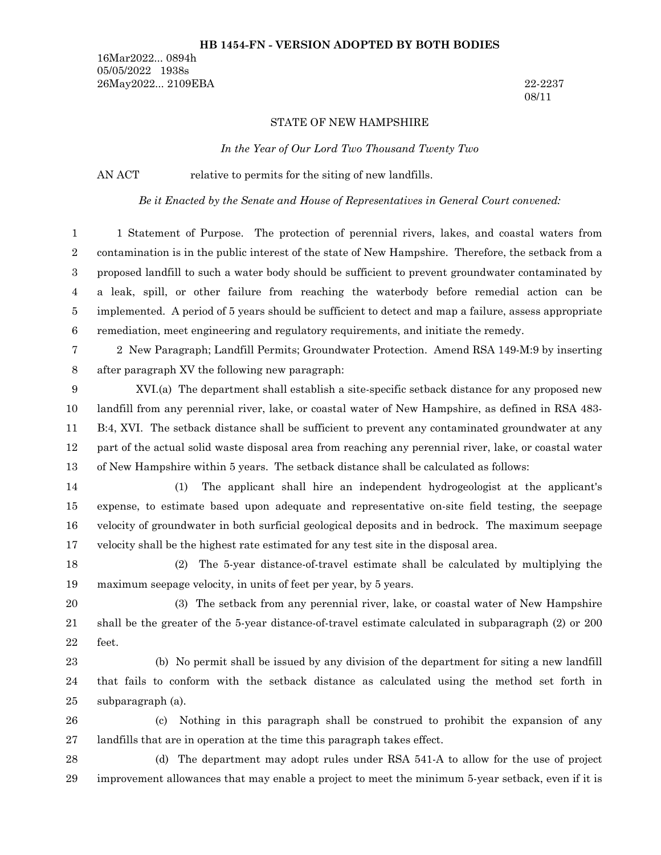#### **HB 1454-FN - VERSION ADOPTED BY BOTH BODIES**

16Mar2022... 0894h 05/05/2022 1938s 26May2022... 2109EBA 22-2237

08/11

#### STATE OF NEW HAMPSHIRE

*In the Year of Our Lord Two Thousand Twenty Two*

AN ACT relative to permits for the siting of new landfills.

*Be it Enacted by the Senate and House of Representatives in General Court convened:*

1 Statement of Purpose. The protection of perennial rivers, lakes, and coastal waters from contamination is in the public interest of the state of New Hampshire. Therefore, the setback from a proposed landfill to such a water body should be sufficient to prevent groundwater contaminated by a leak, spill, or other failure from reaching the waterbody before remedial action can be implemented. A period of 5 years should be sufficient to detect and map a failure, assess appropriate remediation, meet engineering and regulatory requirements, and initiate the remedy. 1 2 3 4 5 6

2 New Paragraph; Landfill Permits; Groundwater Protection. Amend RSA 149-M:9 by inserting after paragraph XV the following new paragraph: 7 8

XVI.(a) The department shall establish a site-specific setback distance for any proposed new landfill from any perennial river, lake, or coastal water of New Hampshire, as defined in RSA 483- B:4, XVI. The setback distance shall be sufficient to prevent any contaminated groundwater at any part of the actual solid waste disposal area from reaching any perennial river, lake, or coastal water of New Hampshire within 5 years. The setback distance shall be calculated as follows: 9 10 11 12 13

(1) The applicant shall hire an independent hydrogeologist at the applicant's expense, to estimate based upon adequate and representative on-site field testing, the seepage velocity of groundwater in both surficial geological deposits and in bedrock. The maximum seepage velocity shall be the highest rate estimated for any test site in the disposal area. 14 15 16 17

(2) The 5-year distance-of-travel estimate shall be calculated by multiplying the maximum seepage velocity, in units of feet per year, by 5 years. 18 19

(3) The setback from any perennial river, lake, or coastal water of New Hampshire shall be the greater of the 5-year distance-of-travel estimate calculated in subparagraph (2) or 200 20 21

22

feet.

(b) No permit shall be issued by any division of the department for siting a new landfill that fails to conform with the setback distance as calculated using the method set forth in subparagraph (a). 23 24 25

(c) Nothing in this paragraph shall be construed to prohibit the expansion of any landfills that are in operation at the time this paragraph takes effect. 26 27

(d) The department may adopt rules under RSA 541-A to allow for the use of project improvement allowances that may enable a project to meet the minimum 5-year setback, even if it is 28 29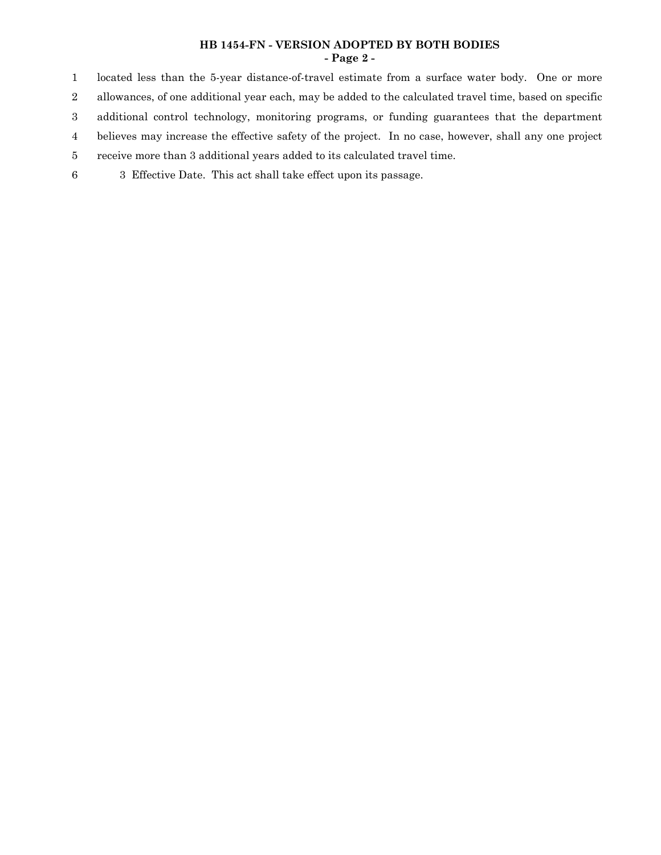### **HB 1454-FN - VERSION ADOPTED BY BOTH BODIES - Page 2 -**

located less than the 5-year distance-of-travel estimate from a surface water body. One or more allowances, of one additional year each, may be added to the calculated travel time, based on specific additional control technology, monitoring programs, or funding guarantees that the department believes may increase the effective safety of the project. In no case, however, shall any one project receive more than 3 additional years added to its calculated travel time. 1 2 3 4 5

3 Effective Date. This act shall take effect upon its passage. 6